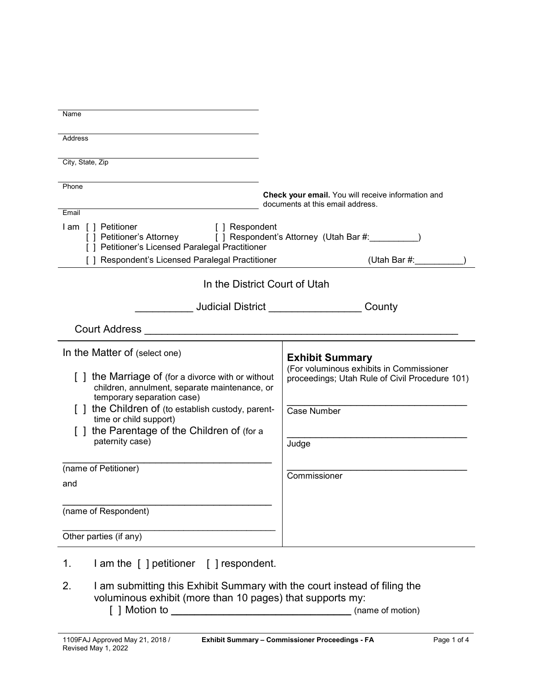| Name                                                                                                                                                                   |                                                                                            |
|------------------------------------------------------------------------------------------------------------------------------------------------------------------------|--------------------------------------------------------------------------------------------|
| Address                                                                                                                                                                |                                                                                            |
|                                                                                                                                                                        |                                                                                            |
| City, State, Zip                                                                                                                                                       |                                                                                            |
| Phone                                                                                                                                                                  |                                                                                            |
|                                                                                                                                                                        | Check your email. You will receive information and<br>documents at this email address.     |
| Email                                                                                                                                                                  |                                                                                            |
| I am [] Petitioner<br>[ ] Respondent<br>[ ] Petitioner's Attorney [ ] Respondent's Attorney (Utah Bar #:_________)<br>[ ] Petitioner's Licensed Paralegal Practitioner |                                                                                            |
| Respondent's Licensed Paralegal Practitioner                                                                                                                           | (Utah Bar #:                                                                               |
|                                                                                                                                                                        | In the District Court of Utah                                                              |
|                                                                                                                                                                        | <b>Judicial District Authority Company</b><br>County                                       |
| <b>Court Address</b>                                                                                                                                                   |                                                                                            |
| In the Matter of (select one)                                                                                                                                          | <b>Exhibit Summary</b>                                                                     |
| [] the Marriage of (for a divorce with or without<br>children, annulment, separate maintenance, or<br>temporary separation case)                                       | (For voluminous exhibits in Commissioner<br>proceedings; Utah Rule of Civil Procedure 101) |
| the Children of (to establish custody, parent-<br>time or child support)                                                                                               | Case Number                                                                                |
| [] the Parentage of the Children of (for a                                                                                                                             |                                                                                            |
| paternity case)                                                                                                                                                        | Judge                                                                                      |
| (name of Petitioner)                                                                                                                                                   |                                                                                            |
| and                                                                                                                                                                    | Commissioner                                                                               |
|                                                                                                                                                                        |                                                                                            |
| (name of Respondent)                                                                                                                                                   |                                                                                            |
| Other parties (if any)                                                                                                                                                 |                                                                                            |
| 1.<br>I am the [ ] petitioner [ ] respondent.                                                                                                                          |                                                                                            |
| $\sim$ om oubmitting this Eybibit Cummany with the court instead of filing the                                                                                         |                                                                                            |

2. I am submitting this Exhibit Summary with the court instead of filing the voluminous exhibit (more than 10 pages) that supports my: [ ] Motion to **\_\_\_\_\_\_\_\_\_\_\_\_\_\_\_\_\_\_\_\_\_\_\_\_\_\_\_\_\_\_\_** (name of motion)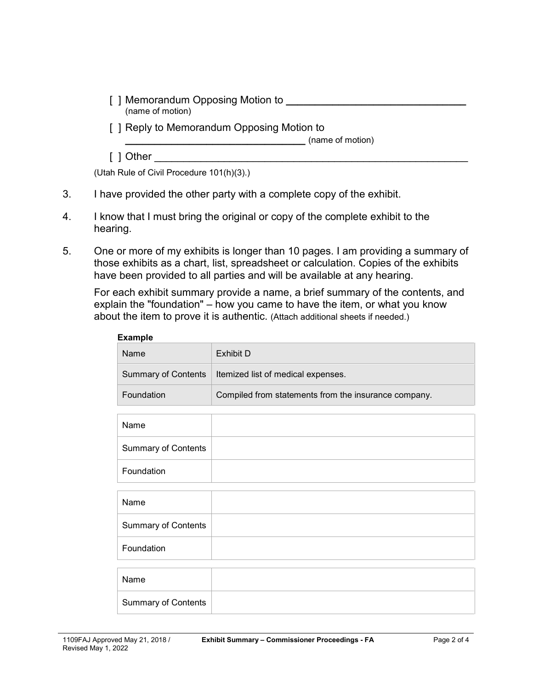- [ ] Memorandum Opposing Motion to **\_\_\_\_\_\_\_\_\_\_\_\_\_\_\_\_\_\_\_\_\_\_\_\_\_\_\_\_\_\_\_** (name of motion)
- [ ] Reply to Memorandum Opposing Motion to

**\_\_\_\_\_\_\_\_\_\_\_\_\_\_\_\_\_\_\_\_\_\_\_\_\_\_\_\_\_\_\_** (name of motion)

 $[$  ] Other

(Utah Rule of Civil Procedure 101(h)(3).)

- 3. I have provided the other party with a complete copy of the exhibit.
- 4. I know that I must bring the original or copy of the complete exhibit to the hearing.
- 5. One or more of my exhibits is longer than 10 pages. I am providing a summary of those exhibits as a chart, list, spreadsheet or calculation. Copies of the exhibits have been provided to all parties and will be available at any hearing.

For each exhibit summary provide a name, a brief summary of the contents, and explain the "foundation" – how you came to have the item, or what you know about the item to prove it is authentic. (Attach additional sheets if needed.)

| <b>Example</b>             |                                                      |  |  |  |
|----------------------------|------------------------------------------------------|--|--|--|
| Name                       | Exhibit D                                            |  |  |  |
| <b>Summary of Contents</b> | Itemized list of medical expenses.                   |  |  |  |
| Foundation                 | Compiled from statements from the insurance company. |  |  |  |
|                            |                                                      |  |  |  |
| Name                       |                                                      |  |  |  |
| <b>Summary of Contents</b> |                                                      |  |  |  |
| Foundation                 |                                                      |  |  |  |
|                            |                                                      |  |  |  |
| Name                       |                                                      |  |  |  |
| <b>Summary of Contents</b> |                                                      |  |  |  |
| Foundation                 |                                                      |  |  |  |
|                            |                                                      |  |  |  |
| Name                       |                                                      |  |  |  |
| <b>Summary of Contents</b> |                                                      |  |  |  |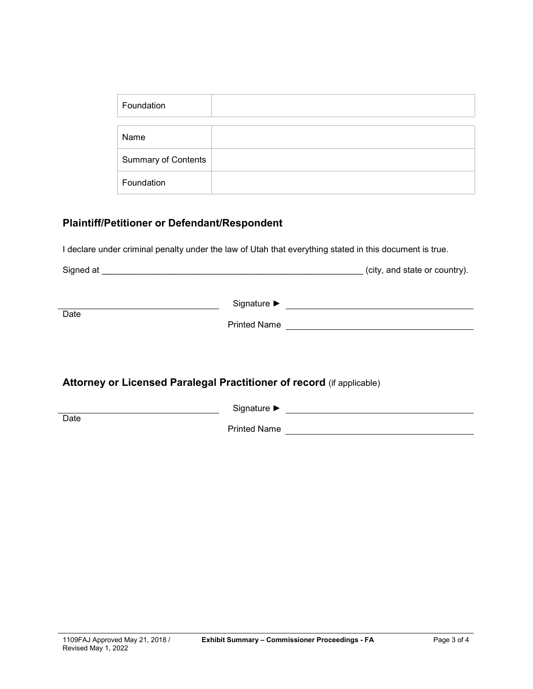| Foundation                 |  |
|----------------------------|--|
|                            |  |
| Name                       |  |
| <b>Summary of Contents</b> |  |
| Foundation                 |  |

## **Plaintiff/Petitioner or Defendant/Respondent**

I declare under criminal penalty under the law of Utah that everything stated in this document is true.

|                                                                       |              | (city, and state or country). |  |  |
|-----------------------------------------------------------------------|--------------|-------------------------------|--|--|
|                                                                       |              |                               |  |  |
| Date                                                                  | Printed Name |                               |  |  |
|                                                                       |              |                               |  |  |
|                                                                       |              |                               |  |  |
| Attorney or Licensed Paralegal Practitioner of record (if applicable) |              |                               |  |  |
| Date                                                                  |              |                               |  |  |
|                                                                       |              | Printed Name                  |  |  |
|                                                                       |              |                               |  |  |